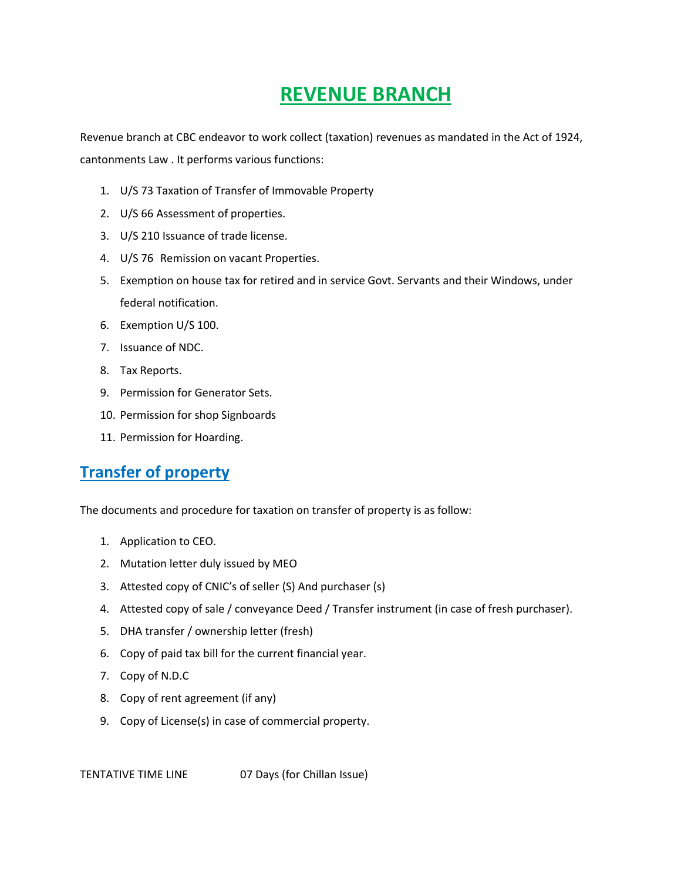# **REVENUE BRANCH**

Revenue branch at CBC endeavor to work collect (taxation) revenues as mandated in the Act of 1924, cantonments Law . It performs various functions:

- 1. U/S 73 Taxation of Transfer of Immovable Property
- 2. U/S 66 Assessment of properties.
- 3. U/S 210 Issuance of trade license.
- 4. U/S 76 Remission on vacant Properties.
- 5. Exemption on house tax for retired and in service Govt. Servants and their Windows, under federal notification.
- 6. Exemption U/S 100.
- 7. Issuance of NDC.
- 8. Tax Reports.
- 9. Permission for Generator Sets.
- 10. Permission for shop Signboards
- 11. Permission for Hoarding.

## **Transfer of property**

The documents and procedure for taxation on transfer of property is as follow:

- 1. Application to CEO.
- 2. Mutation letter duly issued by MEO
- 3. Attested copy of CNIC's of seller (S) And purchaser (s)
- 4. Attested copy of sale / conveyance Deed / Transfer instrument (in case of fresh purchaser).
- 5. DHA transfer / ownership letter (fresh)
- 6. Copy of paid tax bill for the current financial year.
- 7. Copy of N.D.C
- 8. Copy of rent agreement (if any)
- 9. Copy of License(s) in case of commercial property.

TENTATIVE TIME LINE 07 Days (for Chillan Issue)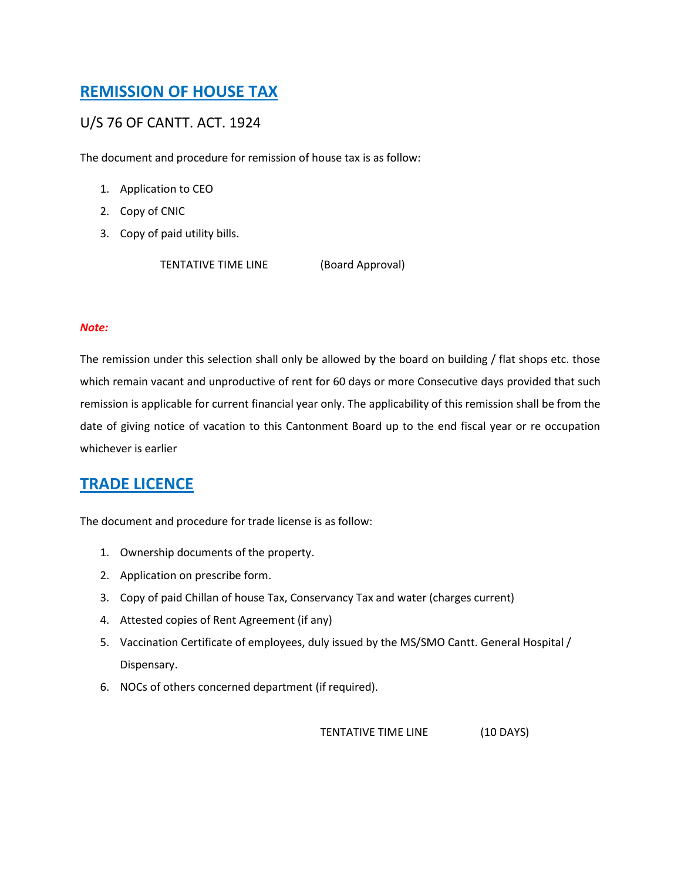# **REMISSION OF HOUSE TAX**

#### U/S 76 OF CANTT. ACT. 1924

The document and procedure for remission of house tax is as follow:

- 1. Application to CEO
- 2. Copy of CNIC
- 3. Copy of paid utility bills.

TENTATIVE TIME LINE (Board Approval)

#### *Note:*

The remission under this selection shall only be allowed by the board on building / flat shops etc. those which remain vacant and unproductive of rent for 60 days or more Consecutive days provided that such remission is applicable for current financial year only. The applicability of this remission shall be from the date of giving notice of vacation to this Cantonment Board up to the end fiscal year or re occupation whichever is earlier

### **TRADE LICENCE**

The document and procedure for trade license is as follow:

- 1. Ownership documents of the property.
- 2. Application on prescribe form.
- 3. Copy of paid Chillan of house Tax, Conservancy Tax and water (charges current)
- 4. Attested copies of Rent Agreement (if any)
- 5. Vaccination Certificate of employees, duly issued by the MS/SMO Cantt. General Hospital / Dispensary.
- 6. NOCs of others concerned department (if required).

TENTATIVE TIME LINE (10 DAYS)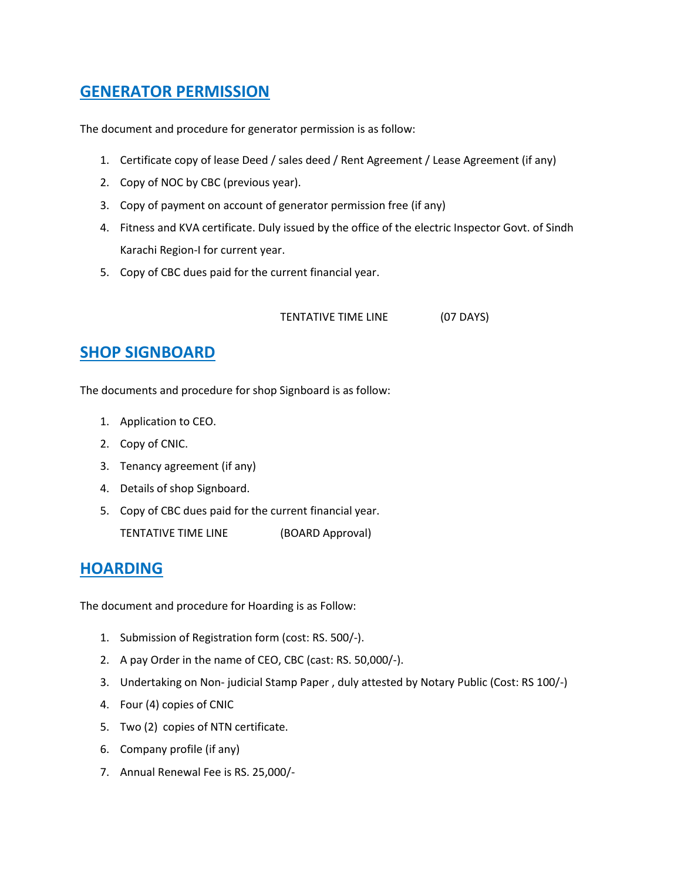### **GENERATOR PERMISSION**

The document and procedure for generator permission is as follow:

- 1. Certificate copy of lease Deed / sales deed / Rent Agreement / Lease Agreement (if any)
- 2. Copy of NOC by CBC (previous year).
- 3. Copy of payment on account of generator permission free (if any)
- 4. Fitness and KVA certificate. Duly issued by the office of the electric Inspector Govt. of Sindh Karachi Region-I for current year.
- 5. Copy of CBC dues paid for the current financial year.

#### TENTATIVE TIME LINE (07 DAYS)

### **SHOP SIGNBOARD**

The documents and procedure for shop Signboard is as follow:

- 1. Application to CEO.
- 2. Copy of CNIC.
- 3. Tenancy agreement (if any)
- 4. Details of shop Signboard.
- 5. Copy of CBC dues paid for the current financial year. TENTATIVE TIME LINE (BOARD Approval)

### **HOARDING**

The document and procedure for Hoarding is as Follow:

- 1. Submission of Registration form (cost: RS. 500/-).
- 2. A pay Order in the name of CEO, CBC (cast: RS. 50,000/-).
- 3. Undertaking on Non- judicial Stamp Paper , duly attested by Notary Public (Cost: RS 100/-)
- 4. Four (4) copies of CNIC
- 5. Two (2) copies of NTN certificate.
- 6. Company profile (if any)
- 7. Annual Renewal Fee is RS. 25,000/-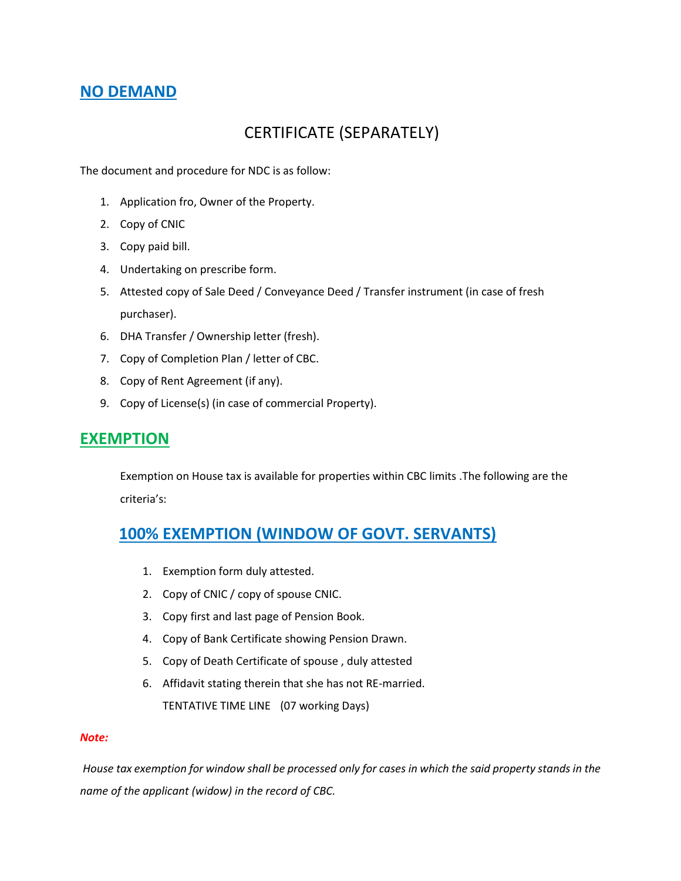### **NO DEMAND**

# CERTIFICATE (SEPARATELY)

The document and procedure for NDC is as follow:

- 1. Application fro, Owner of the Property.
- 2. Copy of CNIC
- 3. Copy paid bill.
- 4. Undertaking on prescribe form.
- 5. Attested copy of Sale Deed / Conveyance Deed / Transfer instrument (in case of fresh purchaser).
- 6. DHA Transfer / Ownership letter (fresh).
- 7. Copy of Completion Plan / letter of CBC.
- 8. Copy of Rent Agreement (if any).
- 9. Copy of License(s) (in case of commercial Property).

#### **EXEMPTION**

Exemption on House tax is available for properties within CBC limits .The following are the criteria's:

### **100% EXEMPTION (WINDOW OF GOVT. SERVANTS)**

- 1. Exemption form duly attested.
- 2. Copy of CNIC / copy of spouse CNIC.
- 3. Copy first and last page of Pension Book.
- 4. Copy of Bank Certificate showing Pension Drawn.
- 5. Copy of Death Certificate of spouse , duly attested
- 6. Affidavit stating therein that she has not RE-married. TENTATIVE TIME LINE (07 working Days)

#### *Note:*

*House tax exemption for window shall be processed only for cases in which the said property stands in the name of the applicant (widow) in the record of CBC.*